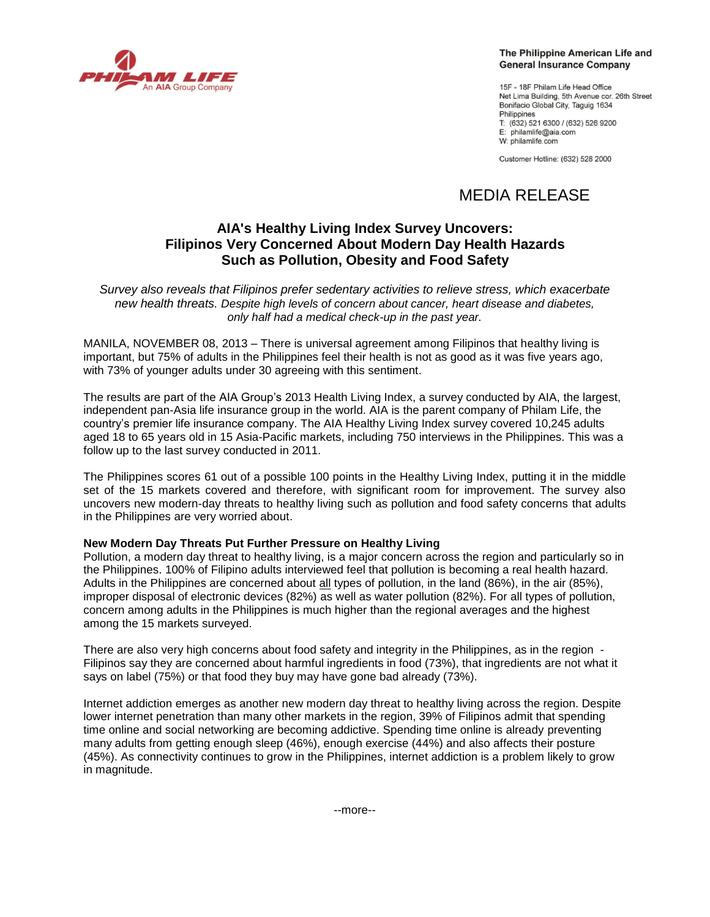

# The Philippine American Life and **General Insurance Company**

15F - 18F Philam Life Head Office Net Lima Building, 5th Avenue cor. 26th Street Bonifacio Global City, Taquig 1634 Philippines T: (632) 521 6300 / (632) 526 9200 E: philamlife@aia.com W: philamlife.com

Customer Hotline: (632) 528 2000

# MEDIA RELEASE

# **AIA's Healthy Living Index Survey Uncovers: Filipinos Very Concerned About Modern Day Health Hazards Such as Pollution, Obesity and Food Safety**

*Survey also reveals that Filipinos prefer sedentary activities to relieve stress, which exacerbate new health threats. Despite high levels of concern about cancer, heart disease and diabetes, only half had a medical check-up in the past year.*

MANILA, NOVEMBER 08, 2013 – There is universal agreement among Filipinos that healthy living is important, but 75% of adults in the Philippines feel their health is not as good as it was five years ago, with 73% of younger adults under 30 agreeing with this sentiment.

The results are part of the AIA Group"s 2013 Health Living Index, a survey conducted by AIA, the largest, independent pan-Asia life insurance group in the world. AIA is the parent company of Philam Life, the country"s premier life insurance company. The AIA Healthy Living Index survey covered 10,245 adults aged 18 to 65 years old in 15 Asia-Pacific markets, including 750 interviews in the Philippines. This was a follow up to the last survey conducted in 2011.

The Philippines scores 61 out of a possible 100 points in the Healthy Living Index, putting it in the middle set of the 15 markets covered and therefore, with significant room for improvement. The survey also uncovers new modern-day threats to healthy living such as pollution and food safety concerns that adults in the Philippines are very worried about.

# **New Modern Day Threats Put Further Pressure on Healthy Living**

Pollution, a modern day threat to healthy living, is a major concern across the region and particularly so in the Philippines. 100% of Filipino adults interviewed feel that pollution is becoming a real health hazard. Adults in the Philippines are concerned about all types of pollution, in the land (86%), in the air (85%), improper disposal of electronic devices (82%) as well as water pollution (82%). For all types of pollution, concern among adults in the Philippines is much higher than the regional averages and the highest among the 15 markets surveyed.

There are also very high concerns about food safety and integrity in the Philippines, as in the region - Filipinos say they are concerned about harmful ingredients in food (73%), that ingredients are not what it says on label (75%) or that food they buy may have gone bad already (73%).

Internet addiction emerges as another new modern day threat to healthy living across the region. Despite lower internet penetration than many other markets in the region, 39% of Filipinos admit that spending time online and social networking are becoming addictive. Spending time online is already preventing many adults from getting enough sleep (46%), enough exercise (44%) and also affects their posture (45%). As connectivity continues to grow in the Philippines, internet addiction is a problem likely to grow in magnitude.

--more--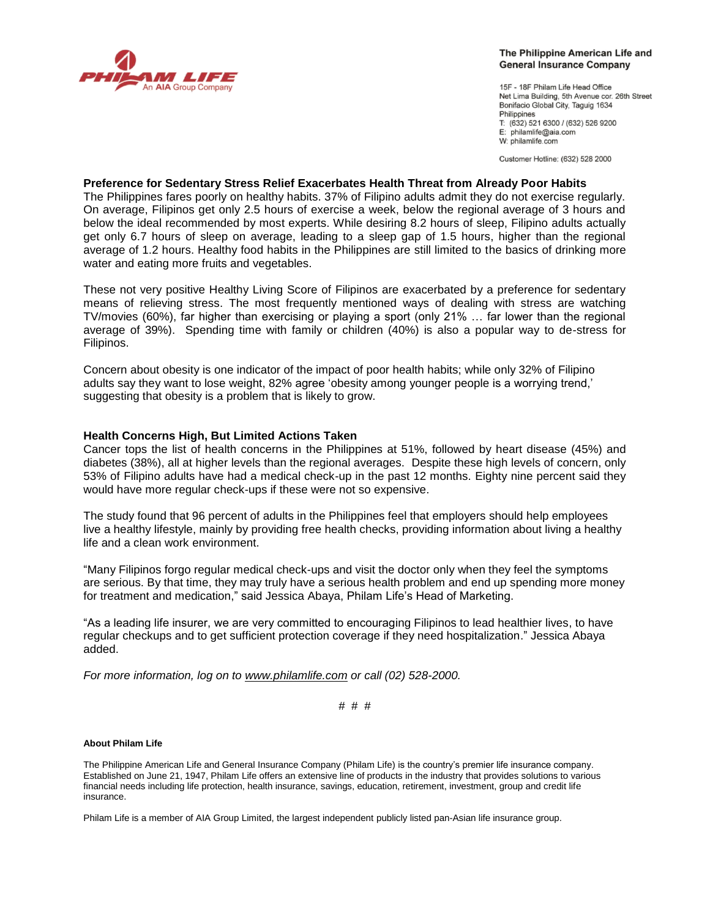

## The Philippine American Life and **General Insurance Company**

15F - 18F Philam Life Head Office Net Lima Building, 5th Avenue cor. 26th Street Bonifacio Global City, Taquig 1634 Philippines T: (632) 521 6300 / (632) 526 9200 E: philamlife@aia.com W: philamlife.com

Customer Hotline: (632) 528 2000

# **Preference for Sedentary Stress Relief Exacerbates Health Threat from Already Poor Habits**

The Philippines fares poorly on healthy habits. 37% of Filipino adults admit they do not exercise regularly. On average, Filipinos get only 2.5 hours of exercise a week, below the regional average of 3 hours and below the ideal recommended by most experts. While desiring 8.2 hours of sleep, Filipino adults actually get only 6.7 hours of sleep on average, leading to a sleep gap of 1.5 hours, higher than the regional average of 1.2 hours. Healthy food habits in the Philippines are still limited to the basics of drinking more water and eating more fruits and vegetables.

These not very positive Healthy Living Score of Filipinos are exacerbated by a preference for sedentary means of relieving stress. The most frequently mentioned ways of dealing with stress are watching TV/movies (60%), far higher than exercising or playing a sport (only 21% … far lower than the regional average of 39%). Spending time with family or children (40%) is also a popular way to de-stress for Filipinos.

Concern about obesity is one indicator of the impact of poor health habits; while only 32% of Filipino adults say they want to lose weight, 82% agree "obesity among younger people is a worrying trend," suggesting that obesity is a problem that is likely to grow.

# **Health Concerns High, But Limited Actions Taken**

Cancer tops the list of health concerns in the Philippines at 51%, followed by heart disease (45%) and diabetes (38%), all at higher levels than the regional averages. Despite these high levels of concern, only 53% of Filipino adults have had a medical check-up in the past 12 months. Eighty nine percent said they would have more regular check-ups if these were not so expensive.

The study found that 96 percent of adults in the Philippines feel that employers should help employees live a healthy lifestyle, mainly by providing free health checks, providing information about living a healthy life and a clean work environment.

"Many Filipinos forgo regular medical check-ups and visit the doctor only when they feel the symptoms are serious. By that time, they may truly have a serious health problem and end up spending more money for treatment and medication," said Jessica Abaya, Philam Life"s Head of Marketing.

"As a leading life insurer, we are very committed to encouraging Filipinos to lead healthier lives, to have regular checkups and to get sufficient protection coverage if they need hospitalization." Jessica Abaya added.

*For more information, log on to [www.philamlife.com](http://www.philamlife.com/) or call (02) 528-2000.* 

# # #

## **About Philam Life**

The Philippine American Life and General Insurance Company (Philam Life) is the country"s premier life insurance company. Established on June 21, 1947, Philam Life offers an extensive line of products in the industry that provides solutions to various financial needs including life protection, health insurance, savings, education, retirement, investment, group and credit life insurance.

Philam Life is a member of AIA Group Limited, the largest independent publicly listed pan-Asian life insurance group.